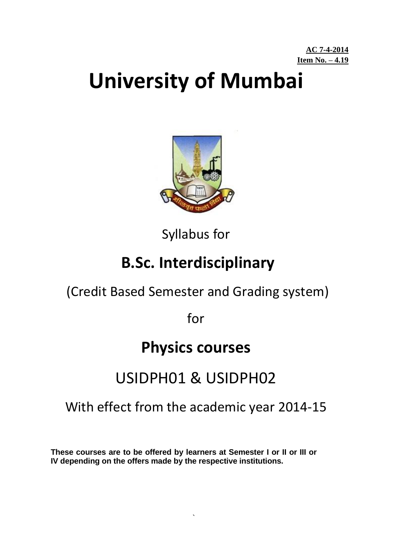# **University of Mumbai**



Syllabus for

## **B.Sc. Interdisciplinary**

## (Credit Based Semester and Grading system)

for

## **Physics courses**

## USIDPH01 & USIDPH02

## With effect from the academic year 2014-15

**These courses are to be offered by learners at Semester I or II or III or IV depending on the offers made by the respective institutions.** 

`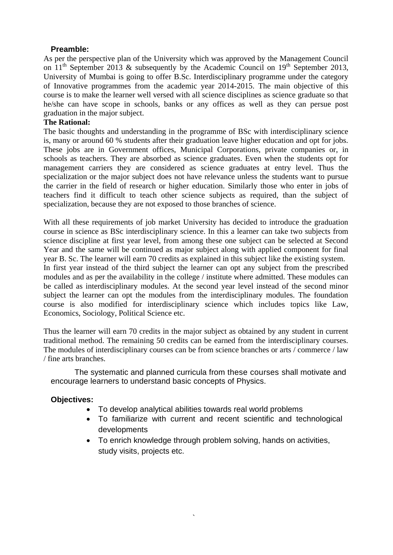#### **Preamble:**

As per the perspective plan of the University which was approved by the Management Council on  $11<sup>th</sup>$  September 2013 & subsequently by the Academic Council on  $19<sup>th</sup>$  September 2013, University of Mumbai is going to offer B.Sc. Interdisciplinary programme under the category of Innovative programmes from the academic year 2014-2015. The main objective of this course is to make the learner well versed with all science disciplines as science graduate so that he/she can have scope in schools, banks or any offices as well as they can persue post graduation in the major subject.

#### **The Rational:**

The basic thoughts and understanding in the programme of BSc with interdisciplinary science is, many or around 60 % students after their graduation leave higher education and opt for jobs. These jobs are in Government offices, Municipal Corporations, private companies or, in schools as teachers. They are absorbed as science graduates. Even when the students opt for management carriers they are considered as science graduates at entry level. Thus the specialization or the major subject does not have relevance unless the students want to pursue the carrier in the field of research or higher education. Similarly those who enter in jobs of teachers find it difficult to teach other science subjects as required, than the subject of specialization, because they are not exposed to those branches of science.

With all these requirements of job market University has decided to introduce the graduation course in science as BSc interdisciplinary science. In this a learner can take two subjects from science discipline at first year level, from among these one subject can be selected at Second Year and the same will be continued as major subject along with applied component for final year B. Sc. The learner will earn 70 credits as explained in this subject like the existing system. In first year instead of the third subject the learner can opt any subject from the prescribed modules and as per the availability in the college / institute where admitted. These modules can be called as interdisciplinary modules. At the second year level instead of the second minor subject the learner can opt the modules from the interdisciplinary modules. The foundation course is also modified for interdisciplinary science which includes topics like Law, Economics, Sociology, Political Science etc.

Thus the learner will earn 70 credits in the major subject as obtained by any student in current traditional method. The remaining 50 credits can be earned from the interdisciplinary courses. The modules of interdisciplinary courses can be from science branches or arts / commerce / law / fine arts branches.

The systematic and planned curricula from these courses shall motivate and encourage learners to understand basic concepts of Physics.

#### **Objectives:**

To develop analytical abilities towards real world problems

`

- To familiarize with current and recent scientific and technological developments
- To enrich knowledge through problem solving, hands on activities, study visits, projects etc.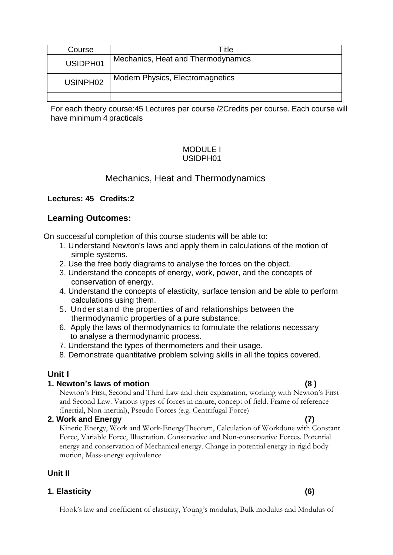| Course               | Title                                   |
|----------------------|-----------------------------------------|
| USIDPH01             | Mechanics, Heat and Thermodynamics      |
| USINPH <sub>02</sub> | <b>Modern Physics, Electromagnetics</b> |
|                      |                                         |

For each theory course:45 Lectures per course /2Credits per course. Each course will have minimum 4 practicals

#### MODULE I USIDPH01

### Mechanics, Heat and Thermodynamics

#### **Lectures: 45 Credits:2**

#### **Learning Outcomes:**

On successful completion of this course students will be able to:

- 1. Understand Newton's laws and apply them in calculations of the motion of simple systems.
- 2. Use the free body diagrams to analyse the forces on the object.
- 3. Understand the concepts of energy, work, power, and the concepts of conservation of energy.
- 4. Understand the concepts of elasticity, surface tension and be able to perform calculations using them.
- 5. Understand the properties of and relationships between the thermodynamic properties of a pure substance.
- 6. Apply the laws of thermodynamics to formulate the relations necessary to analyse a thermodynamic process.
- 7. Understand the types of thermometers and their usage.
- 8. Demonstrate quantitative problem solving skills in all the topics covered.

#### **Unit I**

#### **1. Newton's laws of motion (8 )**

Newton's First, Second and Third Law and their explanation, working with Newton's First and Second Law. Various types of forces in nature, concept of field. Frame of reference (Inertial, Non-inertial), Pseudo Forces (e.g. Centrifugal Force)

#### **2. Work and Energy (7)**

Kinetic Energy, Work and Work-EnergyTheorem, Calculation of Workdone with Constant Force, Variable Force, Illustration. Conservative and Non-conservative Forces. Potential energy and conservation of Mechanical energy. Change in potential energy in rigid body motion, Mass-energy equivalence

#### **Unit II**

#### **1. Elasticity (6)**

` Hook's law and coefficient of elasticity, Young's modulus, Bulk modulus and Modulus of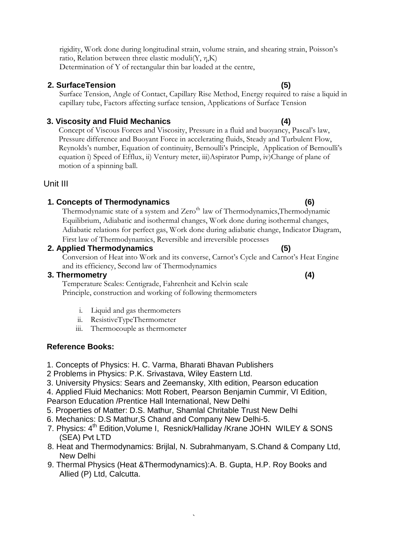rigidity, Work done during longitudinal strain, volume strain, and shearing strain, Poisson's ratio, Relation between three elastic moduli $(Y, \eta, K)$ 

Determination of Y of rectangular thin bar loaded at the centre,

### **2. SurfaceTension (5)**

Surface Tension, Angle of Contact, Capillary Rise Method, Energy required to raise a liquid in capillary tube, Factors affecting surface tension, Applications of Surface Tension

### **3. Viscosity and Fluid Mechanics (4)**

Concept of Viscous Forces and Viscosity, Pressure in a fluid and buoyancy, Pascal's law, Pressure difference and Buoyant Force in accelerating fluids, Steady and Turbulent Flow, Reynolds's number, Equation of continuity, Bernoulli's Principle, Application of Bernoulli's equation i) Speed of Efflux, ii) Ventury meter, iii)Aspirator Pump, iv)Change of plane of motion of a spinning ball.

### Unit III

### **1. Concepts of Thermodynamics (6)**

Thermodynamic state of a system and Zero<sup>th</sup> law of Thermodynamics, Thermodynamic Equilibrium, Adiabatic and isothermal changes, Work done during isothermal changes, Adiabatic relations for perfect gas, Work done during adiabatic change, Indicator Diagram, First law of Thermodynamics, Reversible and irreversible processes

### **2. Applied Thermodynamics (5)**

Conversion of Heat into Work and its converse, Carnot's Cycle and Carnot's Heat Engine and its efficiency, Second law of Thermodynamics

#### **3. Thermometry (4)**

Temperature Scales: Centigrade, Fahrenheit and Kelvin scale Principle, construction and working of following thermometers

- i. Liquid and gas thermometers
- ii. ResistiveTypeThermometer
- iii. Thermocouple as thermometer

### **Reference Books:**

- 1. Concepts of Physics: H. C. Varma, Bharati Bhavan Publishers
- 2 Problems in Physics: P.K. Srivastava, Wiley Eastern Ltd.
- 3. University Physics: Sears and Zeemansky, XIth edition, Pearson education
- 4. Applied Fluid Mechanics: Mott Robert, Pearson Benjamin Cummir, VI Edition,
- Pearson Education /Prentice Hall International, New Delhi
- 5. Properties of Matter: D.S. Mathur, Shamlal Chritable Trust New Delhi
- 6. Mechanics: D.S Mathur,S Chand and Company New Delhi-5.
- 7. Physics: 4<sup>th</sup> Edition, Volume I, Resnick/Halliday /Krane JOHN WILEY & SONS (SEA) Pvt LTD
- 8. Heat and Thermodynamics: Brijlal, N. Subrahmanyam, S.Chand & Company Ltd, New Delhi
- 9. Thermal Physics (Heat &Thermodynamics):A. B. Gupta, H.P. Roy Books and Allied (P) Ltd, Calcutta.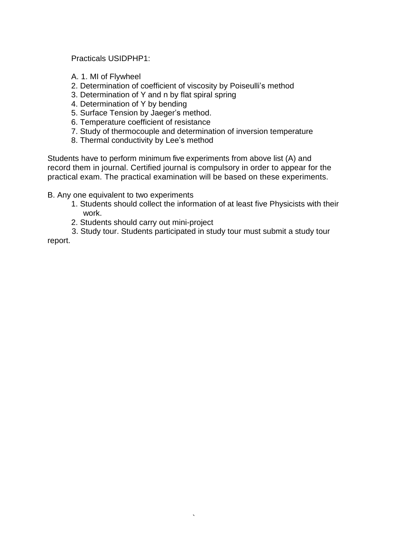Practicals USIDPHP1:

- A. 1. MI of Flywheel
- 2. Determination of coefficient of viscosity by Poiseulli's method
- 3. Determination of Y and n by flat spiral spring
- 4. Determination of Y by bending
- 5. Surface Tension by Jaeger's method.
- 6. Temperature coefficient of resistance
- 7. Study of thermocouple and determination of inversion temperature
- 8. Thermal conductivity by Lee's method

Students have to perform minimum five experiments from above list (A) and record them in journal. Certified journal is compulsory in order to appear for the practical exam. The practical examination will be based on these experiments.

B. Any one equivalent to two experiments

- 1. Students should collect the information of at least five Physicists with their work.
- 2. Students should carry out mini-project
- 3. Study tour. Students participated in study tour must submit a study tour

`

report.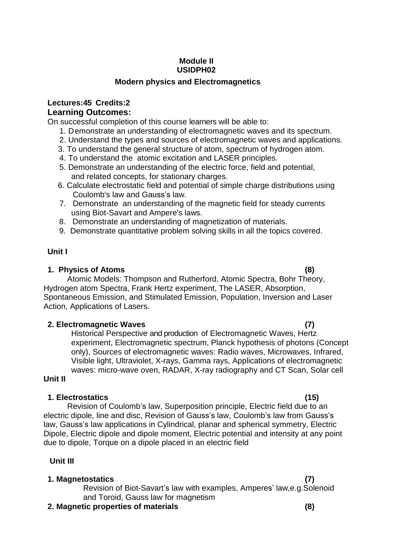#### **Module II USIDPH02**

#### **Modern physics and Electromagnetics**

#### **Lectures:45 Credits:2 Learning Outcomes:**

On successful completion of this course learners will be able to:

- 1. Demonstrate an understanding of electromagnetic waves and its spectrum.
- 2. Understand the types and sources of electromagnetic waves and applications.
- 3. To understand the general structure of atom, spectrum of hydrogen atom.
- 4. To understand the atomic excitation and LASER principles.
- 5. Demonstrate an understanding of the electric force, field and potential, and related concepts, for stationary charges.
- 6. Calculate electrostatic field and potential of simple charge distributions using Coulomb's law and Gauss's law.
- 7. Demonstrate an understanding of the magnetic field for steady currents using Biot-Savart and Ampere's laws.
- 8. Demonstrate an understanding of magnetization of materials.
- 9. Demonstrate quantitative problem solving skills in all the topics covered.

#### **Unit I**

#### **1. Physics of Atoms (8)**

#### Atomic Models: Thompson and Rutherford, Atomic Spectra, Bohr Theory, Hydrogen atom Spectra, Frank Hertz experiment, The LASER, Absorption, Spontaneous Emission, and Stimulated Emission, Population, Inversion and Laser Action, Applications of Lasers.

#### **2. Electromagnetic Waves (7)**

Historical Perspective and production of Electromagnetic Waves, Hertz experiment, Electromagnetic spectrum, Planck hypothesis of photons (Concept only), Sources of electromagnetic waves: Radio waves, Microwaves, Infrared, Visible light, Ultraviolet, X-rays, Gamma rays, Applications of electromagnetic waves: micro-wave oven, RADAR, X-ray radiography and CT Scan, Solar cell

#### **Unit II**

#### **1. Electrostatics (15)**

Revision of Coulomb's law, Superposition principle, Electric field due to an electric dipole, line and disc, Revision of Gauss's law, Coulomb's law from Gauss's law, Gauss's law applications in Cylindrical, planar and spherical symmetry, Electric Dipole, Electric dipole and dipole moment, Electric potential and intensity at any point due to dipole, Torque on a dipole placed in an electric field

#### **Unit III**

#### **1. Magnetostatics (7)**

Revision of Biot-Savart's law with examples, Amperes' law,e.g.Solenoid and Toroid, Gauss law for magnetism

- **2. Magnetic properties of materials (8)**
-